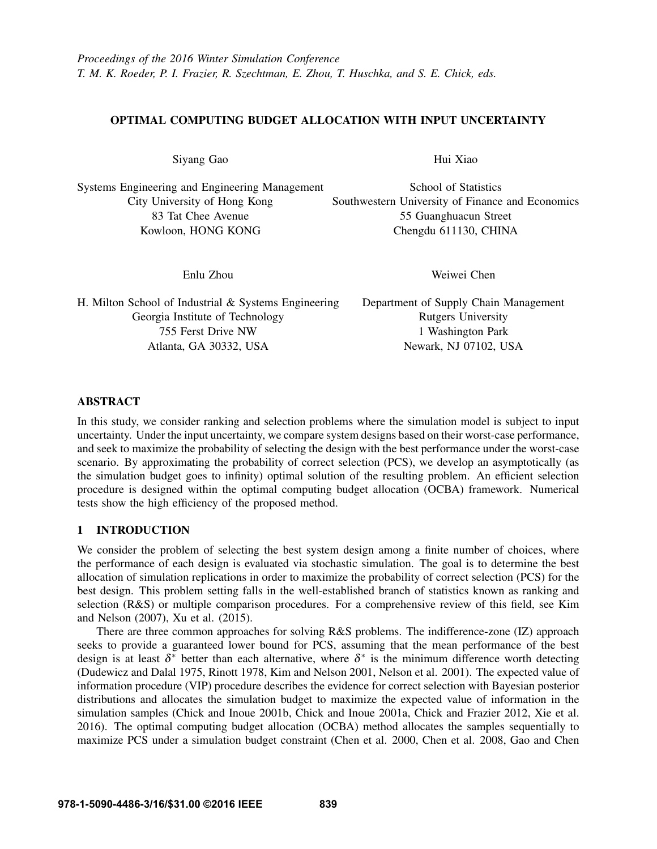# OPTIMAL COMPUTING BUDGET ALLOCATION WITH INPUT UNCERTAINTY

Siyang Gao

Systems Engineering and Engineering Management City University of Hong Kong 83 Tat Chee Avenue Kowloon, HONG KONG

Enlu Zhou

Hui Xiao

School of Statistics Southwestern University of Finance and Economics 55 Guanghuacun Street Chengdu 611130, CHINA

Weiwei Chen

H. Milton School of Industrial & Systems Engineering Georgia Institute of Technology 755 Ferst Drive NW Atlanta, GA 30332, USA

Department of Supply Chain Management Rutgers University 1 Washington Park Newark, NJ 07102, USA

# ABSTRACT

In this study, we consider ranking and selection problems where the simulation model is subject to input uncertainty. Under the input uncertainty, we compare system designs based on their worst-case performance, and seek to maximize the probability of selecting the design with the best performance under the worst-case scenario. By approximating the probability of correct selection (PCS), we develop an asymptotically (as the simulation budget goes to infinity) optimal solution of the resulting problem. An efficient selection procedure is designed within the optimal computing budget allocation (OCBA) framework. Numerical tests show the high efficiency of the proposed method.

# 1 INTRODUCTION

We consider the problem of selecting the best system design among a finite number of choices, where the performance of each design is evaluated via stochastic simulation. The goal is to determine the best allocation of simulation replications in order to maximize the probability of correct selection (PCS) for the best design. This problem setting falls in the well-established branch of statistics known as ranking and selection (R&S) or multiple comparison procedures. For a comprehensive review of this field, see Kim and Nelson (2007), Xu et al. (2015).

There are three common approaches for solving R&S problems. The indifference-zone (IZ) approach seeks to provide a guaranteed lower bound for PCS, assuming that the mean performance of the best design is at least  $\delta^*$  better than each alternative, where  $\delta^*$  is the minimum difference worth detecting (Dudewicz and Dalal 1975, Rinott 1978, Kim and Nelson 2001, Nelson et al. 2001). The expected value of information procedure (VIP) procedure describes the evidence for correct selection with Bayesian posterior distributions and allocates the simulation budget to maximize the expected value of information in the simulation samples (Chick and Inoue 2001b, Chick and Inoue 2001a, Chick and Frazier 2012, Xie et al. 2016). The optimal computing budget allocation (OCBA) method allocates the samples sequentially to maximize PCS under a simulation budget constraint (Chen et al. 2000, Chen et al. 2008, Gao and Chen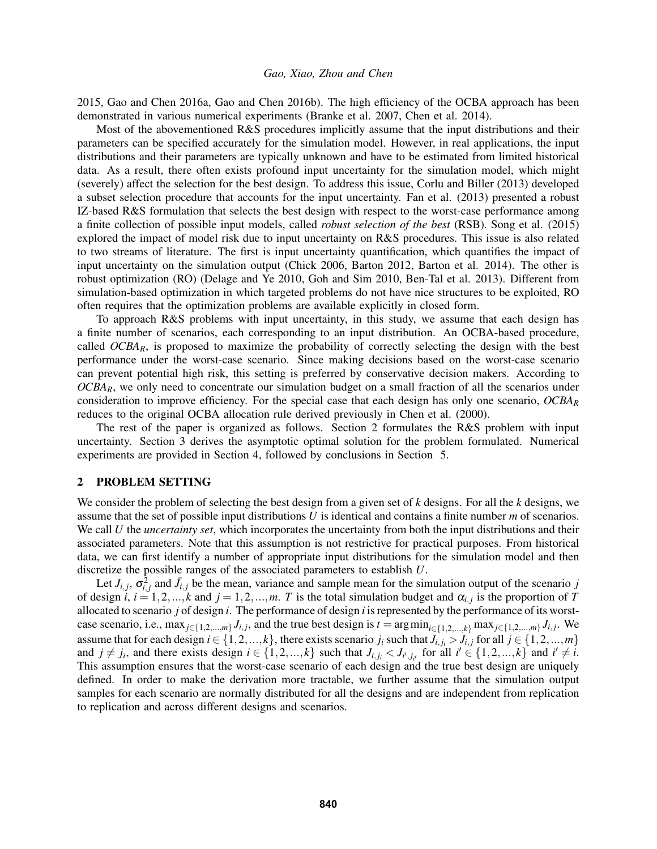2015, Gao and Chen 2016a, Gao and Chen 2016b). The high efficiency of the OCBA approach has been demonstrated in various numerical experiments (Branke et al. 2007, Chen et al. 2014).

Most of the abovementioned R&S procedures implicitly assume that the input distributions and their parameters can be specified accurately for the simulation model. However, in real applications, the input distributions and their parameters are typically unknown and have to be estimated from limited historical data. As a result, there often exists profound input uncertainty for the simulation model, which might (severely) affect the selection for the best design. To address this issue, Corlu and Biller (2013) developed a subset selection procedure that accounts for the input uncertainty. Fan et al. (2013) presented a robust IZ-based R&S formulation that selects the best design with respect to the worst-case performance among a finite collection of possible input models, called *robust selection of the best* (RSB). Song et al. (2015) explored the impact of model risk due to input uncertainty on R&S procedures. This issue is also related to two streams of literature. The first is input uncertainty quantification, which quantifies the impact of input uncertainty on the simulation output (Chick 2006, Barton 2012, Barton et al. 2014). The other is robust optimization (RO) (Delage and Ye 2010, Goh and Sim 2010, Ben-Tal et al. 2013). Different from simulation-based optimization in which targeted problems do not have nice structures to be exploited, RO often requires that the optimization problems are available explicitly in closed form.

To approach R&S problems with input uncertainty, in this study, we assume that each design has a finite number of scenarios, each corresponding to an input distribution. An OCBA-based procedure, called  $OCBA<sub>R</sub>$ , is proposed to maximize the probability of correctly selecting the design with the best performance under the worst-case scenario. Since making decisions based on the worst-case scenario can prevent potential high risk, this setting is preferred by conservative decision makers. According to *OCBAR*, we only need to concentrate our simulation budget on a small fraction of all the scenarios under consideration to improve efficiency. For the special case that each design has only one scenario, *OCBA<sup>R</sup>* reduces to the original OCBA allocation rule derived previously in Chen et al. (2000).

The rest of the paper is organized as follows. Section 2 formulates the R&S problem with input uncertainty. Section 3 derives the asymptotic optimal solution for the problem formulated. Numerical experiments are provided in Section 4, followed by conclusions in Section 5.

#### 2 PROBLEM SETTING

We consider the problem of selecting the best design from a given set of *k* designs. For all the *k* designs, we assume that the set of possible input distributions *U* is identical and contains a finite number *m* of scenarios. We call *U* the *uncertainty set*, which incorporates the uncertainty from both the input distributions and their associated parameters. Note that this assumption is not restrictive for practical purposes. From historical data, we can first identify a number of appropriate input distributions for the simulation model and then discretize the possible ranges of the associated parameters to establish *U*.

Let  $J_{i,j}$ ,  $\sigma_{i,j}^2$  and  $\bar{J}_{i,j}$  be the mean, variance and sample mean for the simulation output of the scenario *j* of design *i*,  $i = 1, 2, ..., k$  and  $j = 1, 2, ..., m$ . *T* is the total simulation budget and  $\alpha_{i,j}$  is the proportion of *T* allocated to scenario *j* of design *i*. The performance of design *i* is represented by the performance of its worstcase scenario, i.e.,  $\max_{j \in \{1,2,\dots,m\}} J_{i,j}$ , and the true best design is  $t = \arg \min_{i \in \{1,2,\dots,k\}} \max_{j \in \{1,2,\dots,m\}} J_{i,j}$ . We assume that for each design  $i \in \{1, 2, ..., k\}$ , there exists scenario  $j_i$  such that  $J_{i,j} > J_{i,j}$  for all  $j \in \{1, 2, ..., m\}$ and  $j \neq j_i$ , and there exists design  $i \in \{1, 2, ..., k\}$  such that  $J_{i,j_i} < J_{i',j_{i'}}$  for all  $i' \in \{1, 2, ..., k\}$  and  $i' \neq i$ . This assumption ensures that the worst-case scenario of each design and the true best design are uniquely defined. In order to make the derivation more tractable, we further assume that the simulation output samples for each scenario are normally distributed for all the designs and are independent from replication to replication and across different designs and scenarios.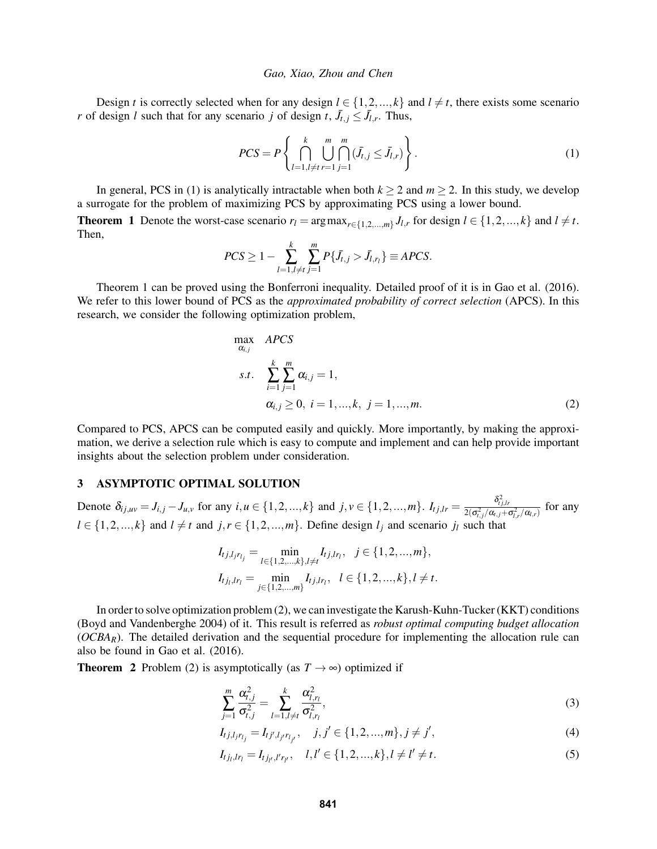Design *t* is correctly selected when for any design  $l \in \{1, 2, ..., k\}$  and  $l \neq t$ , there exists some scenario *r* of design *l* such that for any scenario *j* of design *t*,  $J_{t,j} \leq J_{l,r}$ . Thus,

$$
PCS = P\left\{\bigcap_{l=1, l \neq t}^{k} \bigcup_{r=1}^{m} \bigcap_{j=1}^{m} (\bar{J}_{t,j} \le \bar{J}_{l,r})\right\}.
$$
\n(1)

In general, PCS in (1) is analytically intractable when both  $k \ge 2$  and  $m \ge 2$ . In this study, we develop a surrogate for the problem of maximizing PCS by approximating PCS using a lower bound.

**Theorem 1** Denote the worst-case scenario  $r_l = \arg \max_{r \in \{1, 2, ..., m\}} J_{l,r}$  for design  $l \in \{1, 2, ..., k\}$  and  $l \neq t$ . Then,

$$
PCS \ge 1 - \sum_{l=1, l \ne t}^{k} \sum_{j=1}^{m} P\{\bar{J}_{t,j} > \bar{J}_{l,r_l}\} \equiv APCS.
$$

Theorem 1 can be proved using the Bonferroni inequality. Detailed proof of it is in Gao et al. (2016). We refer to this lower bound of PCS as the *approximated probability of correct selection* (APCS). In this research, we consider the following optimization problem,

$$
\max_{\alpha_{i,j}} \, APCS
$$
\n
$$
s.t. \, \sum_{i=1}^{k} \sum_{j=1}^{m} \alpha_{i,j} = 1,
$$
\n
$$
\alpha_{i,j} \ge 0, \, i = 1, \dots, k, \, j = 1, \dots, m. \tag{2}
$$

Compared to PCS, APCS can be computed easily and quickly. More importantly, by making the approximation, we derive a selection rule which is easy to compute and implement and can help provide important insights about the selection problem under consideration.

## 3 ASYMPTOTIC OPTIMAL SOLUTION

Denote  $\delta_{ij,uv} = J_{i,j} - J_{u,v}$  for any  $i, u \in \{1, 2, ..., k\}$  and  $j, v \in \{1, 2, ..., m\}$ .  $I_{tj,lr} = \frac{\delta_{tj,lr}^2}{2(\sigma_{t,j}^2/\alpha_{t,j} + \sigma_{t,r}^2/\alpha_{t,r})}$  for any  $l \in \{1, 2, ..., k\}$  and  $l \neq t$  and  $j, r \in \{1, 2, ..., m\}$ . Define design  $l_i$  and scenario  $j_l$  such that

$$
I_{t j, l_j r_{l_j}} = \min_{l \in \{1, 2, ..., k\}, l \neq t} I_{t j, l r_l}, \quad j \in \{1, 2, ..., m\},
$$
  

$$
I_{t j_l, l r_l} = \min_{j \in \{1, 2, ..., m\}} I_{t j, l r_l}, \quad l \in \{1, 2, ..., k\}, l \neq t.
$$

In order to solve optimization problem (2), we can investigate the Karush-Kuhn-Tucker (KKT) conditions (Boyd and Vandenberghe 2004) of it. This result is referred as *robust optimal computing budget allocation* ( $OCBA<sub>R</sub>$ ). The detailed derivation and the sequential procedure for implementing the allocation rule can also be found in Gao et al. (2016).

**Theorem 2** Problem (2) is asymptotically (as  $T \rightarrow \infty$ ) optimized if

$$
\sum_{j=1}^{m} \frac{\alpha_{t,j}^2}{\sigma_{t,j}^2} = \sum_{l=1, l \neq t}^{k} \frac{\alpha_{l,r_l}^2}{\sigma_{l,r_l}^2},
$$
\n(3)

$$
I_{tj,l_jr_{l_j}} = I_{tj',l_jr_{l_{j'}}}, \quad j, j' \in \{1,2,...,m\}, j \neq j', \tag{4}
$$

$$
I_{t j_l, l r_l} = I_{t j_{l'}, l' r_{l'}}, \quad l, l' \in \{1, 2, ..., k\}, l \neq l' \neq t.
$$
\n
$$
(5)
$$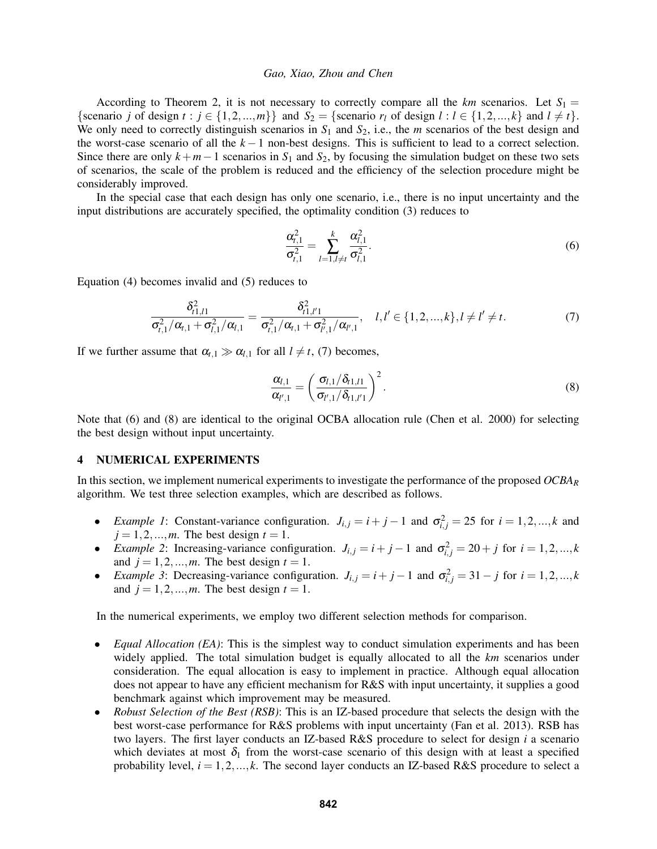According to Theorem 2, it is not necessary to correctly compare all the  $km$  scenarios. Let  $S_1 =$ {scenario *j* of design  $t : j \in \{1, 2, ..., m\}$ } and  $S_2 =$  {scenario  $r_l$  of design  $l : l \in \{1, 2, ..., k\}$  and  $l \neq t$  }. We only need to correctly distinguish scenarios in  $S_1$  and  $S_2$ , i.e., the *m* scenarios of the best design and the worst-case scenario of all the *k* −1 non-best designs. This is sufficient to lead to a correct selection. Since there are only  $k+m-1$  scenarios in  $S_1$  and  $S_2$ , by focusing the simulation budget on these two sets of scenarios, the scale of the problem is reduced and the efficiency of the selection procedure might be considerably improved.

In the special case that each design has only one scenario, i.e., there is no input uncertainty and the input distributions are accurately specified, the optimality condition (3) reduces to

$$
\frac{\alpha_{t,1}^2}{\sigma_{t,1}^2} = \sum_{l=1, l \neq t}^{k} \frac{\alpha_{l,1}^2}{\sigma_{l,1}^2}.
$$
\n(6)

Equation (4) becomes invalid and (5) reduces to

$$
\frac{\delta_{t1,l1}^2}{\sigma_{t,1}^2/\alpha_{t,1} + \sigma_{t,1}^2/\alpha_{t,1}} = \frac{\delta_{t1,l1}^2}{\sigma_{t,1}^2/\alpha_{t,1} + \sigma_{t',1}^2/\alpha_{t',1}}, \quad l,l' \in \{1,2,...,k\}, l \neq l' \neq t.
$$
\n(7)

If we further assume that  $\alpha_{t,1} \gg \alpha_{l,1}$  for all  $l \neq t$ , (7) becomes,

$$
\frac{\alpha_{l,1}}{\alpha_{l',1}} = \left(\frac{\sigma_{l,1}/\delta_{t1,l1}}{\sigma_{l',1}/\delta_{t1,l'1}}\right)^2.
$$
\n(8)

Note that (6) and (8) are identical to the original OCBA allocation rule (Chen et al. 2000) for selecting the best design without input uncertainty.

## 4 NUMERICAL EXPERIMENTS

In this section, we implement numerical experiments to investigate the performance of the proposed *OCBA<sup>R</sup>* algorithm. We test three selection examples, which are described as follows.

- $\bullet$  *Example 1*: Constant-variance configuration. *J<sub>i,j</sub>* = *i* + *j* − 1 and  $\sigma_{i,j}^2 = 25$  for *i* = 1,2,...,*k* and  $j = 1, 2, \dots, m$ . The best design  $t = 1$ .
- $\bullet$  *Example 2*: Increasing-variance configuration. *J<sub>i,j</sub>* = *i* + *j* − 1 and  $σ$ <sup>2</sup><sub>*i,j*</sub> = 20 + *j* for *i* = 1,2,...,*k* and  $j = 1, 2, \dots, m$ . The best design  $t = 1$ .
- $\bullet$  *Example 3*: Decreasing-variance configuration. *J<sub>i,j</sub>* = *i* + *j* − 1 and  $\sigma$ <sup>2</sup><sub>*i,j*</sub> = 31 − *j* for *i* = 1,2,...,*k* and  $j = 1, 2, \dots, m$ . The best design  $t = 1$ .

In the numerical experiments, we employ two different selection methods for comparison.

- *Equal Allocation (EA)*: This is the simplest way to conduct simulation experiments and has been widely applied. The total simulation budget is equally allocated to all the *km* scenarios under consideration. The equal allocation is easy to implement in practice. Although equal allocation does not appear to have any efficient mechanism for R&S with input uncertainty, it supplies a good benchmark against which improvement may be measured.
- *Robust Selection of the Best (RSB)*: This is an IZ-based procedure that selects the design with the best worst-case performance for R&S problems with input uncertainty (Fan et al. 2013). RSB has two layers. The first layer conducts an IZ-based R&S procedure to select for design *i* a scenario which deviates at most  $\delta_1$  from the worst-case scenario of this design with at least a specified probability level,  $i = 1, 2, ..., k$ . The second layer conducts an IZ-based R&S procedure to select a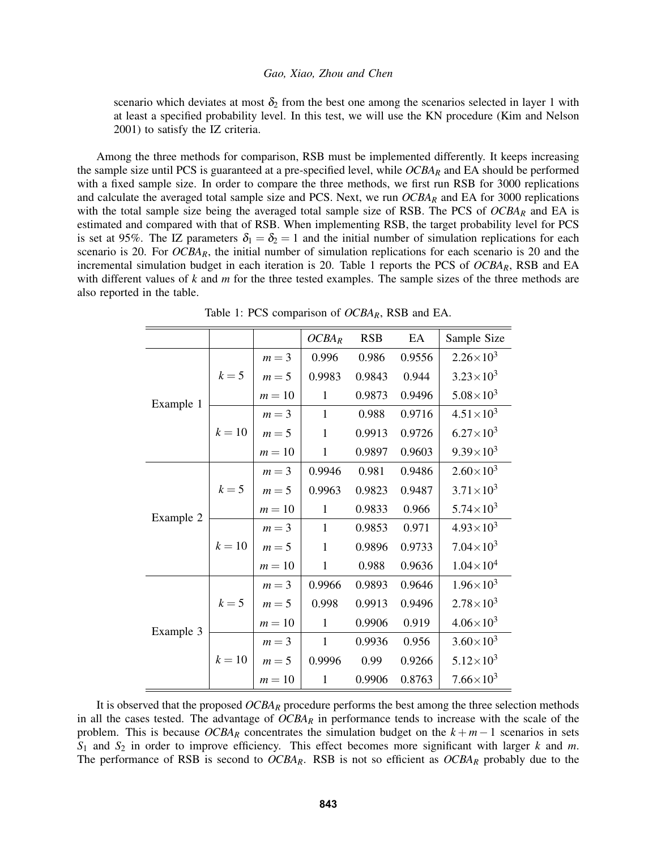scenario which deviates at most  $\delta_2$  from the best one among the scenarios selected in layer 1 with at least a specified probability level. In this test, we will use the KN procedure (Kim and Nelson 2001) to satisfy the IZ criteria.

Among the three methods for comparison, RSB must be implemented differently. It keeps increasing the sample size until PCS is guaranteed at a pre-specified level, while *OCBA<sup>R</sup>* and EA should be performed with a fixed sample size. In order to compare the three methods, we first run RSB for 3000 replications and calculate the averaged total sample size and PCS. Next, we run *OCBA<sup>R</sup>* and EA for 3000 replications with the total sample size being the averaged total sample size of RSB. The PCS of *OCBA<sup>R</sup>* and EA is estimated and compared with that of RSB. When implementing RSB, the target probability level for PCS is set at 95%. The IZ parameters  $\delta_1 = \delta_2 = 1$  and the initial number of simulation replications for each scenario is 20. For *OCBAR*, the initial number of simulation replications for each scenario is 20 and the incremental simulation budget in each iteration is 20. Table 1 reports the PCS of *OCBAR*, RSB and EA with different values of *k* and *m* for the three tested examples. The sample sizes of the three methods are also reported in the table.

|           |        |         | $OCBA_R$     | <b>RSB</b> | EA     | Sample Size          |
|-----------|--------|---------|--------------|------------|--------|----------------------|
| Example 1 | $k=5$  | $m = 3$ | 0.996        | 0.986      | 0.9556 | $2.26 \times 10^3$   |
|           |        | $m=5$   | 0.9983       | 0.9843     | 0.944  | $3.23 \times 10^{3}$ |
|           |        | $m=10$  | 1            | 0.9873     | 0.9496 | $5.08\times10^{3}$   |
|           | $k=10$ | $m = 3$ | $\mathbf{1}$ | 0.988      | 0.9716 | $4.51 \times 10^{3}$ |
|           |        | $m = 5$ | $\mathbf{1}$ | 0.9913     | 0.9726 | $6.27 \times 10^{3}$ |
|           |        | $m=10$  | $\mathbf{1}$ | 0.9897     | 0.9603 | $9.39 \times 10^3$   |
| Example 2 | $k=5$  | $m = 3$ | 0.9946       | 0.981      | 0.9486 | $2.60\times10^{3}$   |
|           |        | $m=5$   | 0.9963       | 0.9823     | 0.9487 | $3.71 \times 10^{3}$ |
|           |        | $m=10$  | 1            | 0.9833     | 0.966  | $5.74 \times 10^{3}$ |
|           | $k=10$ | $m = 3$ | $\mathbf{1}$ | 0.9853     | 0.971  | $4.93 \times 10^{3}$ |
|           |        | $m = 5$ | $\mathbf{1}$ | 0.9896     | 0.9733 | $7.04 \times 10^{3}$ |
|           |        | $m=10$  | $\mathbf{1}$ | 0.988      | 0.9636 | $1.04 \times 10^4$   |
| Example 3 | $k=5$  | $m = 3$ | 0.9966       | 0.9893     | 0.9646 | $1.96 \times 10^{3}$ |
|           |        | $m=5$   | 0.998        | 0.9913     | 0.9496 | $2.78 \times 10^{3}$ |
|           |        | $m=10$  | 1            | 0.9906     | 0.919  | $4.06 \times 10^{3}$ |
|           | $k=10$ | $m = 3$ | $\mathbf{1}$ | 0.9936     | 0.956  | $3.60 \times 10^{3}$ |
|           |        | $m=5$   | 0.9996       | 0.99       | 0.9266 | $5.12 \times 10^3$   |
|           |        | $m=10$  | $\mathbf{1}$ | 0.9906     | 0.8763 | $7.66 \times 10^3$   |

Table 1: PCS comparison of *OCBAR*, RSB and EA.

It is observed that the proposed *OCBA<sup>R</sup>* procedure performs the best among the three selection methods in all the cases tested. The advantage of *OCBA<sup>R</sup>* in performance tends to increase with the scale of the problem. This is because  $OCBA<sub>R</sub>$  concentrates the simulation budget on the  $k + m - 1$  scenarios in sets *S*<sup>1</sup> and *S*<sup>2</sup> in order to improve efficiency. This effect becomes more significant with larger *k* and *m*. The performance of RSB is second to *OCBAR*. RSB is not so efficient as *OCBA<sup>R</sup>* probably due to the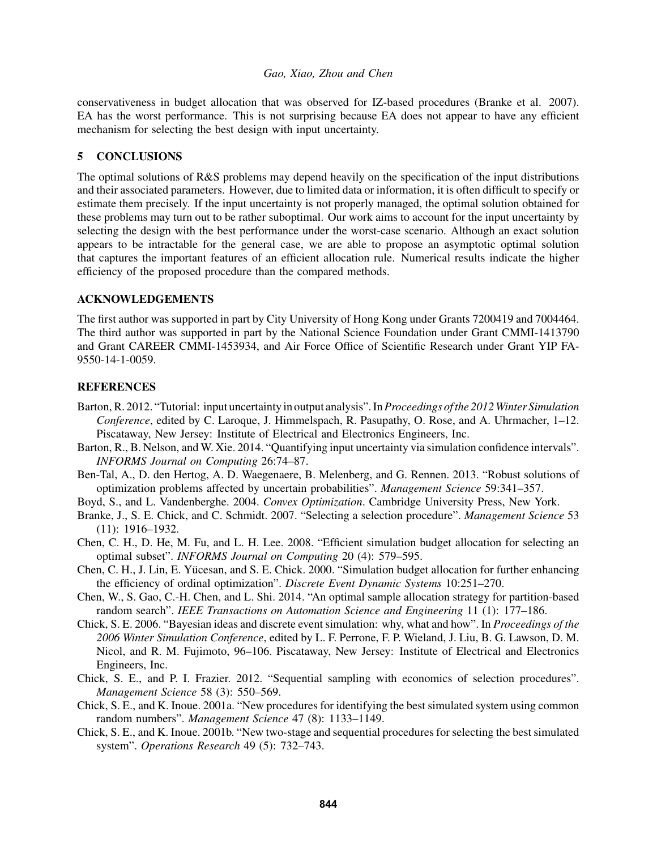conservativeness in budget allocation that was observed for IZ-based procedures (Branke et al. 2007). EA has the worst performance. This is not surprising because EA does not appear to have any efficient mechanism for selecting the best design with input uncertainty.

## 5 CONCLUSIONS

The optimal solutions of R&S problems may depend heavily on the specification of the input distributions and their associated parameters. However, due to limited data or information, it is often difficult to specify or estimate them precisely. If the input uncertainty is not properly managed, the optimal solution obtained for these problems may turn out to be rather suboptimal. Our work aims to account for the input uncertainty by selecting the design with the best performance under the worst-case scenario. Although an exact solution appears to be intractable for the general case, we are able to propose an asymptotic optimal solution that captures the important features of an efficient allocation rule. Numerical results indicate the higher efficiency of the proposed procedure than the compared methods.

## ACKNOWLEDGEMENTS

The first author was supported in part by City University of Hong Kong under Grants 7200419 and 7004464. The third author was supported in part by the National Science Foundation under Grant CMMI-1413790 and Grant CAREER CMMI-1453934, and Air Force Office of Scientific Research under Grant YIP FA-9550-14-1-0059.

## REFERENCES

- Barton, R. 2012. "Tutorial: input uncertainty in output analysis". In*Proceedings of the 2012Winter Simulation Conference*, edited by C. Laroque, J. Himmelspach, R. Pasupathy, O. Rose, and A. Uhrmacher, 1–12. Piscataway, New Jersey: Institute of Electrical and Electronics Engineers, Inc.
- Barton, R., B. Nelson, and W. Xie. 2014. "Quantifying input uncertainty via simulation confidence intervals". *INFORMS Journal on Computing* 26:74–87.
- Ben-Tal, A., D. den Hertog, A. D. Waegenaere, B. Melenberg, and G. Rennen. 2013. "Robust solutions of optimization problems affected by uncertain probabilities". *Management Science* 59:341–357.
- Boyd, S., and L. Vandenberghe. 2004. *Convex Optimization*. Cambridge University Press, New York.
- Branke, J., S. E. Chick, and C. Schmidt. 2007. "Selecting a selection procedure". *Management Science* 53 (11): 1916–1932.
- Chen, C. H., D. He, M. Fu, and L. H. Lee. 2008. "Efficient simulation budget allocation for selecting an optimal subset". *INFORMS Journal on Computing* 20 (4): 579–595.
- Chen, C. H., J. Lin, E. Yucesan, and S. E. Chick. 2000. "Simulation budget allocation for further enhancing ¨ the efficiency of ordinal optimization". *Discrete Event Dynamic Systems* 10:251–270.
- Chen, W., S. Gao, C.-H. Chen, and L. Shi. 2014. "An optimal sample allocation strategy for partition-based random search". *IEEE Transactions on Automation Science and Engineering* 11 (1): 177–186.
- Chick, S. E. 2006. "Bayesian ideas and discrete event simulation: why, what and how". In *Proceedings of the 2006 Winter Simulation Conference*, edited by L. F. Perrone, F. P. Wieland, J. Liu, B. G. Lawson, D. M. Nicol, and R. M. Fujimoto, 96–106. Piscataway, New Jersey: Institute of Electrical and Electronics Engineers, Inc.
- Chick, S. E., and P. I. Frazier. 2012. "Sequential sampling with economics of selection procedures". *Management Science* 58 (3): 550–569.
- Chick, S. E., and K. Inoue. 2001a. "New procedures for identifying the best simulated system using common random numbers". *Management Science* 47 (8): 1133–1149.
- Chick, S. E., and K. Inoue. 2001b. "New two-stage and sequential procedures for selecting the best simulated system". *Operations Research* 49 (5): 732–743.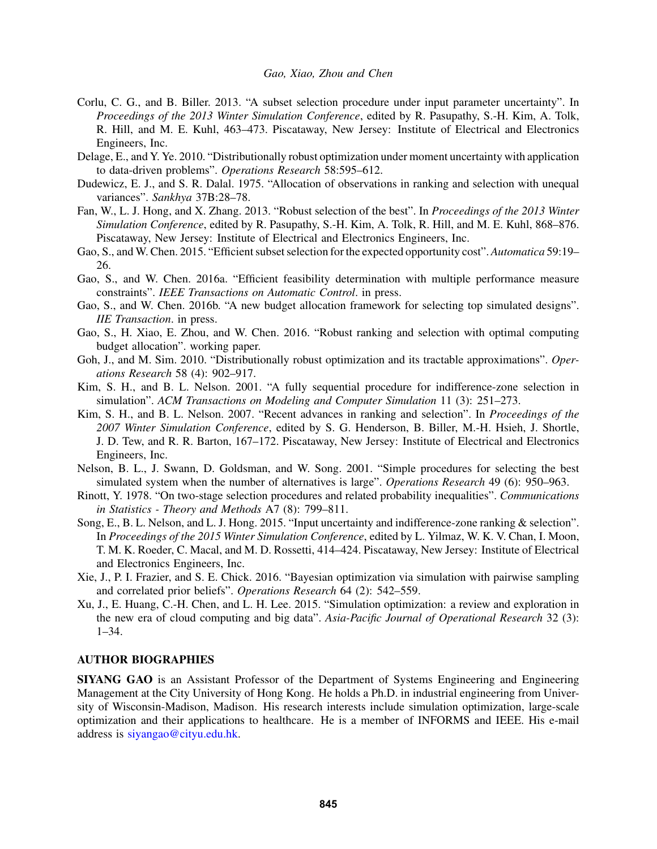- Corlu, C. G., and B. Biller. 2013. "A subset selection procedure under input parameter uncertainty". In *Proceedings of the 2013 Winter Simulation Conference*, edited by R. Pasupathy, S.-H. Kim, A. Tolk, R. Hill, and M. E. Kuhl, 463–473. Piscataway, New Jersey: Institute of Electrical and Electronics Engineers, Inc.
- Delage, E., and Y. Ye. 2010. "Distributionally robust optimization under moment uncertainty with application to data-driven problems". *Operations Research* 58:595–612.
- Dudewicz, E. J., and S. R. Dalal. 1975. "Allocation of observations in ranking and selection with unequal variances". *Sankhya* 37B:28–78.
- Fan, W., L. J. Hong, and X. Zhang. 2013. "Robust selection of the best". In *Proceedings of the 2013 Winter Simulation Conference*, edited by R. Pasupathy, S.-H. Kim, A. Tolk, R. Hill, and M. E. Kuhl, 868–876. Piscataway, New Jersey: Institute of Electrical and Electronics Engineers, Inc.
- Gao, S., and W. Chen. 2015. "Efficient subset selection for the expected opportunity cost". *Automatica* 59:19– 26.
- Gao, S., and W. Chen. 2016a. "Efficient feasibility determination with multiple performance measure constraints". *IEEE Transactions on Automatic Control*. in press.
- Gao, S., and W. Chen. 2016b. "A new budget allocation framework for selecting top simulated designs". *IIE Transaction*. in press.
- Gao, S., H. Xiao, E. Zhou, and W. Chen. 2016. "Robust ranking and selection with optimal computing budget allocation". working paper.
- Goh, J., and M. Sim. 2010. "Distributionally robust optimization and its tractable approximations". *Operations Research* 58 (4): 902–917.
- Kim, S. H., and B. L. Nelson. 2001. "A fully sequential procedure for indifference-zone selection in simulation". *ACM Transactions on Modeling and Computer Simulation* 11 (3): 251–273.
- Kim, S. H., and B. L. Nelson. 2007. "Recent advances in ranking and selection". In *Proceedings of the 2007 Winter Simulation Conference*, edited by S. G. Henderson, B. Biller, M.-H. Hsieh, J. Shortle, J. D. Tew, and R. R. Barton, 167–172. Piscataway, New Jersey: Institute of Electrical and Electronics Engineers, Inc.
- Nelson, B. L., J. Swann, D. Goldsman, and W. Song. 2001. "Simple procedures for selecting the best simulated system when the number of alternatives is large". *Operations Research* 49 (6): 950–963.
- Rinott, Y. 1978. "On two-stage selection procedures and related probability inequalities". *Communications in Statistics - Theory and Methods* A7 (8): 799–811.
- Song, E., B. L. Nelson, and L. J. Hong. 2015. "Input uncertainty and indifference-zone ranking & selection". In *Proceedings of the 2015 Winter Simulation Conference*, edited by L. Yilmaz, W. K. V. Chan, I. Moon, T. M. K. Roeder, C. Macal, and M. D. Rossetti, 414–424. Piscataway, New Jersey: Institute of Electrical and Electronics Engineers, Inc.
- Xie, J., P. I. Frazier, and S. E. Chick. 2016. "Bayesian optimization via simulation with pairwise sampling and correlated prior beliefs". *Operations Research* 64 (2): 542–559.
- Xu, J., E. Huang, C.-H. Chen, and L. H. Lee. 2015. "Simulation optimization: a review and exploration in the new era of cloud computing and big data". *Asia-Pacific Journal of Operational Research* 32 (3): 1–34.

#### AUTHOR BIOGRAPHIES

SIYANG GAO is an Assistant Professor of the Department of Systems Engineering and Engineering Management at the City University of Hong Kong. He holds a Ph.D. in industrial engineering from University of Wisconsin-Madison, Madison. His research interests include simulation optimization, large-scale optimization and their applications to healthcare. He is a member of INFORMS and IEEE. His e-mail address is siyangao@cityu.edu.hk.